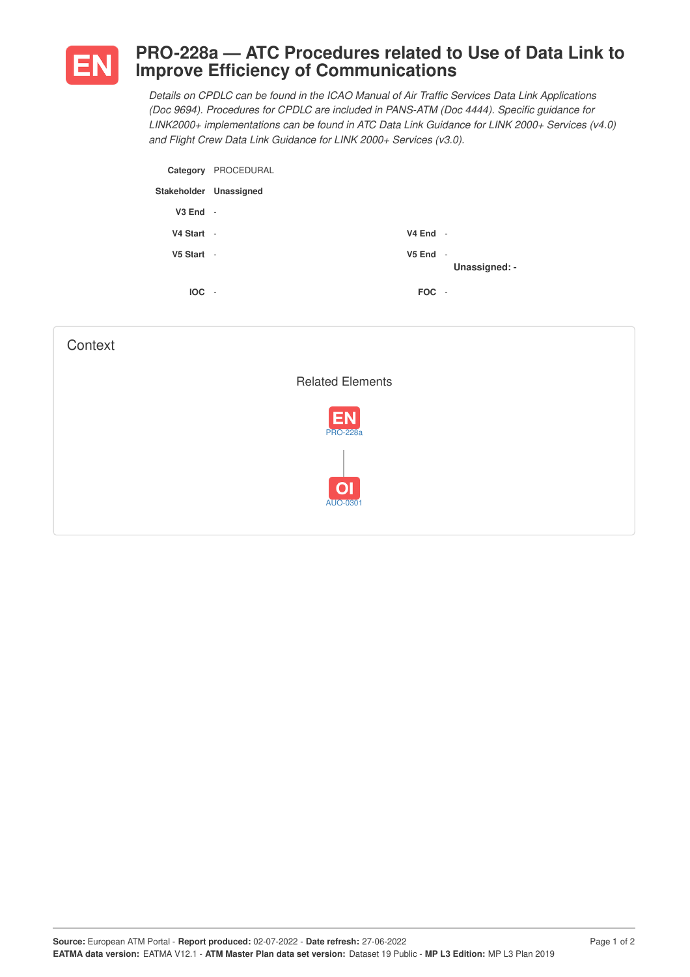

## **PRO-228a — ATC Procedures related to Use of Data Link to Improve Efficiency of Communications**

*Details on CPDLC can be found in the ICAO Manual of Air Traffic Services Data Link Applications (Doc 9694). Procedures for CPDLC are included in PANS-ATM (Doc 4444). Specific guidance for LINK2000+ implementations can be found in ATC Data Link Guidance for LINK 2000+ Services (v4.0) and Flight Crew Data Link Guidance for LINK 2000+ Services (v3.0).*

| Category               | PROCEDURAL |            |               |
|------------------------|------------|------------|---------------|
| Stakeholder Unassigned |            |            |               |
| $V3$ End $-$           |            |            |               |
| V4 Start -             |            | $V4$ End - |               |
| V5 Start -             |            | $V5$ End - | Unassigned: - |
| $IOC -$                |            | FOC -      |               |